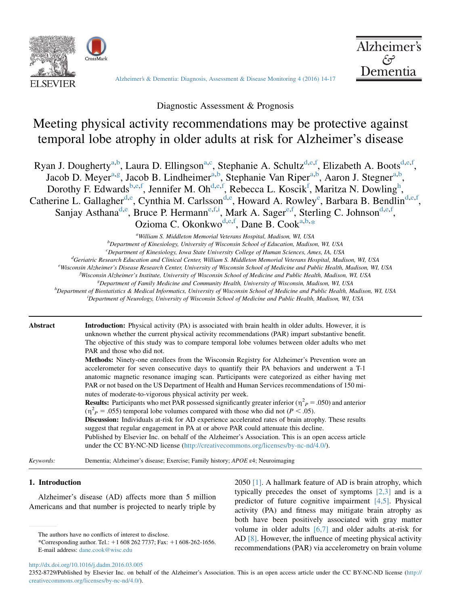

Alzheimer's تهجيم Dementia

[Alzheimer's & Dementia: Diagnosis, Assessment & Disease Monitoring 4 \(2016\) 14-17](http://dx.doi.org/10.1016/j.dadm.2016.03.005)

Diagnostic Assessment & Prognosis

# Meeting physical activity recommendations may be protective against temporal lobe atrophy in older adults at risk for Alzheimer's disease

Ryan J. Dougherty<sup>a,b</sup>, Laura D. Ellingson<sup>a,c</sup>, Stephanie A. Schultz<sup>d,e,f</sup>, Elizabeth A. Boots<sup>d,e,f</sup>, Jacob D. Meyer<sup>a,g</sup>, Jacob B. Lindheimer<sup>a,b</sup>, Stephanie Van Riper<sup>a,b</sup>, Aaron J. Stegner<sup>a,b</sup>, Dorothy F. Edwards<sup>b,e,f</sup>, Jennifer M. Oh<sup>d,e,f</sup>, Rebecca L. Koscik<sup>f</sup>, Maritza N. Dowling<sup>h</sup>, Catherine L. Gallagher<sup>d,e</sup>, Cynthia M. Carlsson<sup>d,e</sup>, Howard A. Rowley<sup>e</sup>, Barbara B. Bendlin<sup>d,e,f</sup>, Sanjay Asthana<sup>d,e</sup>, Bruce P. Hermann<sup>e, f,i</sup>, Mark A. Sager<sup>e, f</sup>, Sterling C. Johnson<sup>d,e, f</sup>,

Ozioma C. Okonkwo<sup>d,e,f</sup>, Dane B. Cook<sup>a,b,\*</sup>

<sup>a</sup>William S. Middleton Memorial Veterans Hospital, Madison, WI, USA <sup>b</sup>Department of Kinesiology, University of Wisconsin School of Education, Madison, WI, USA <sup>c</sup> Department of Kinesiology, Iowa State University College of Human Sciences, Ames, IA, USA<br><sup>d</sup>Gariatric Basearch Education and Clinical Center William S. Middleton Mamorial Veterans Hospital, Mada <sup>d</sup>Geriatric Research Education and Clinical Center, William S. Middleton Memorial Veterans Hospital, Madison, WI, USA Wisconsin Alzheimer's Disease Research Center, University of Wisconsin School of Medicine and Public Health, Madison, WI, USA Expression Alzheimer's Institute, University of Wisconsin School of Medicine and Public Health, Madison, WI, USA<br>S Department of Equily Medicine and Community Health University of Wisconsin Medicar, WJ, USA Department of Family Medicine and Community Health, University of Wisconsin, Madison, WI, USA <sup>h</sup> <sup>h</sup>Department of Biostatistics & Medical Informatics, University of Wisconsin School of Medicine and Public Health, Madison, WI, USA <sup>i</sup>Department of Neurology, University of Wisconsin School of Medicine and Public Health, Madison, WI, USA

Abstract Introduction: Physical activity (PA) is associated with brain health in older adults. However, it is unknown whether the current physical activity recommendations (PAR) impart substantive benefit. The objective of this study was to compare temporal lobe volumes between older adults who met PAR and those who did not.

> Methods: Ninety-one enrollees from the Wisconsin Registry for Alzheimer's Prevention wore an accelerometer for seven consecutive days to quantify their PA behaviors and underwent a T-1 anatomic magnetic resonance imaging scan. Participants were categorized as either having met PAR or not based on the US Department of Health and Human Services recommendations of 150 minutes of moderate-to-vigorous physical activity per week.

> **Results:** Participants who met PAR possessed significantly greater inferior ( $\eta^2 P = .050$ ) and anterior  $(\eta^2 P = .055)$  temporal lobe volumes compared with those who did not ( $P < .05$ ).

> Discussion: Individuals at-risk for AD experience accelerated rates of brain atrophy. These results suggest that regular engagement in PA at or above PAR could attenuate this decline.

> Published by Elsevier Inc. on behalf of the Alzheimer's Association. This is an open access article under the CC BY-NC-ND license [\(http://creativecommons.org/licenses/by-nc-nd/4.0/\)](http://creativecommons.org/licenses/by-nc-nd/4.0/).

Keywords: Dementia; Alzheimer's disease; Exercise; Family history; APOE ε4; Neuroimaging

## 1. Introduction

Alzheimer's disease (AD) affects more than 5 million Americans and that number is projected to nearly triple by 2050 [\[1\]](#page-3-0). A hallmark feature of AD is brain atrophy, which typically precedes the onset of symptoms [\[2,3\]](#page-3-0) and is a predictor of future cognitive impairment [\[4,5\]](#page-3-0). Physical activity (PA) and fitness may mitigate brain atrophy as both have been positively associated with gray matter volume in older adults [\[6,7\]](#page-3-0) and older adults at-risk for AD [\[8\]](#page-3-0). However, the influence of meeting physical activity recommendations (PAR) via accelerometry on brain volume

<http://dx.doi.org/10.1016/j.dadm.2016.03.005>

2352-8729/Published by Elsevier Inc. on behalf of the Alzheimer's Association. This is an open access article under the CC BY-NC-ND license ([http://](http://creativecommons.org/licenses/by-nc-nd/4.0/) [creativecommons.org/licenses/by-nc-nd/4.0/](http://creativecommons.org/licenses/by-nc-nd/4.0/)).

The authors have no conflicts of interest to disclose.

<sup>\*</sup>Corresponding author. Tel.:  $+1$  608 262 7737; Fax:  $+1$  608-262-1656. E-mail address: [dane.cook@wisc.edu](mailto:dane.cook@wisc.edu)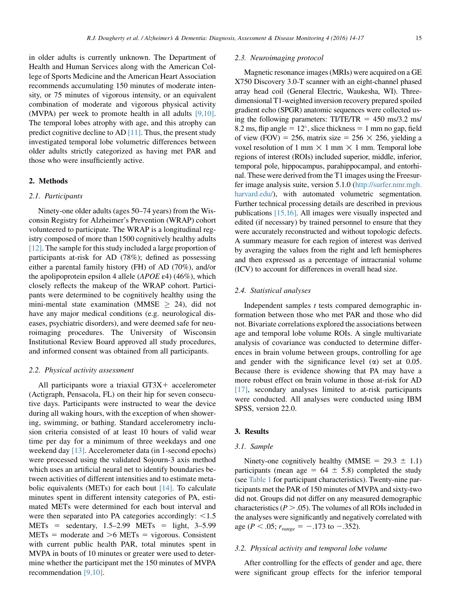in older adults is currently unknown. The Department of Health and Human Services along with the American College of Sports Medicine and the American Heart Association recommends accumulating 150 minutes of moderate intensity, or 75 minutes of vigorous intensity, or an equivalent combination of moderate and vigorous physical activity (MVPA) per week to promote health in all adults  $[9,10]$ . The temporal lobes atrophy with age, and this atrophy can predict cognitive decline to AD  $[11]$ . Thus, the present study investigated temporal lobe volumetric differences between older adults strictly categorized as having met PAR and those who were insufficiently active.

### 2. Methods

#### 2.1. Participants

Ninety-one older adults (ages 50–74 years) from the Wisconsin Registry for Alzheimer's Prevention (WRAP) cohort volunteered to participate. The WRAP is a longitudinal registry composed of more than 1500 cognitively healthy adults [\[12\].](#page-3-0) The sample for this study included a large proportion of participants at-risk for AD (78%); defined as possessing either a parental family history (FH) of AD (70%), and/or the apolipoprotein epsilon 4 allele ( $APOE$  ε4) (46%), which closely reflects the makeup of the WRAP cohort. Participants were determined to be cognitively healthy using the mini-mental state examination (MMSE  $\geq$  24), did not have any major medical conditions (e.g. neurological diseases, psychiatric disorders), and were deemed safe for neuroimaging procedures. The University of Wisconsin Institutional Review Board approved all study procedures, and informed consent was obtained from all participants.

#### 2.2. Physical activity assessment

All participants wore a triaxial  $GT3X+$  accelerometer (Actigraph, Pensacola, FL) on their hip for seven consecutive days. Participants were instructed to wear the device during all waking hours, with the exception of when showering, swimming, or bathing. Standard accelerometry inclusion criteria consisted of at least 10 hours of valid wear time per day for a minimum of three weekdays and one weekend day [\[13\]](#page-3-0). Accelerometer data (in 1-second epochs) were processed using the validated Sojourn-3 axis method which uses an artificial neural net to identify boundaries between activities of different intensities and to estimate metabolic equivalents (METs) for each bout  $[14]$ . To calculate minutes spent in different intensity categories of PA, estimated METs were determined for each bout interval and were then separated into PA categories accordingly:  $\leq 1.5$  $METs = sedentary, 1.5–2.99$  METs = light, 3–5.99  $METs = moderate$  and  $\geq 6$  MET<sub>s</sub> = vigorous. Consistent with current public health PAR, total minutes spent in MVPA in bouts of 10 minutes or greater were used to determine whether the participant met the 150 minutes of MVPA recommendation [\[9,10\]](#page-3-0).

#### 2.3. Neuroimaging protocol

Magnetic resonance images (MRIs) were acquired on a GE X750 Discovery 3.0-T scanner with an eight-channel phased array head coil (General Electric, Waukesha, WI). Threedimensional T1-weighted inversion recovery prepared spoiled gradient echo (SPGR) anatomic sequences were collected using the following parameters:  $TI/TE/TR = 450$  ms/3.2 ms/ 8.2 ms, flip angle =  $12^{\circ}$ , slice thickness = 1 mm no gap, field of view (FOV) = 256, matrix size =  $256 \times 256$ , yielding a voxel resolution of 1 mm  $\times$  1 mm  $\times$  1 mm. Temporal lobe regions of interest (ROIs) included superior, middle, inferior, temporal pole, hippocampus, parahippocampal, and entorhinal. These were derived from the T1 images using the Freesurfer image analysis suite, version 5.1.0 [\(http://surfer.nmr.mgh.](http://surfer.nmr.mgh.harvard.edu/) [harvard.edu/\)](http://surfer.nmr.mgh.harvard.edu/), with automated volumetric segmentation. Further technical processing details are described in previous publications [\[15,16\].](#page-3-0) All images were visually inspected and edited (if necessary) by trained personnel to ensure that they were accurately reconstructed and without topologic defects. A summary measure for each region of interest was derived by averaging the values from the right and left hemispheres and then expressed as a percentage of intracranial volume (ICV) to account for differences in overall head size.

#### 2.4. Statistical analyses

Independent samples t tests compared demographic information between those who met PAR and those who did not. Bivariate correlations explored the associations between age and temporal lobe volume ROIs. A single multivariate analysis of covariance was conducted to determine differences in brain volume between groups, controlling for age and gender with the significance level  $(\alpha)$  set at 0.05. Because there is evidence showing that PA may have a more robust effect on brain volume in those at-risk for AD [\[17\],](#page-3-0) secondary analyses limited to at-risk participants were conducted. All analyses were conducted using IBM SPSS, version 22.0.

#### 3. Results

## 3.1. Sample

Ninety-one cognitively healthy (MMSE =  $29.3 \pm 1.1$ ) participants (mean age =  $64 \pm 5.8$ ) completed the study (see [Table 1](#page-2-0) for participant characteristics). Twenty-nine participants met the PAR of 150 minutes of MVPA and sixty-two did not. Groups did not differ on any measured demographic characteristics ( $P > .05$ ). The volumes of all ROIs included in the analyses were significantly and negatively correlated with age ( $P < .05$ ;  $r_{range} = -.173$  to  $-.352$ ).

## 3.2. Physical activity and temporal lobe volume

After controlling for the effects of gender and age, there were significant group effects for the inferior temporal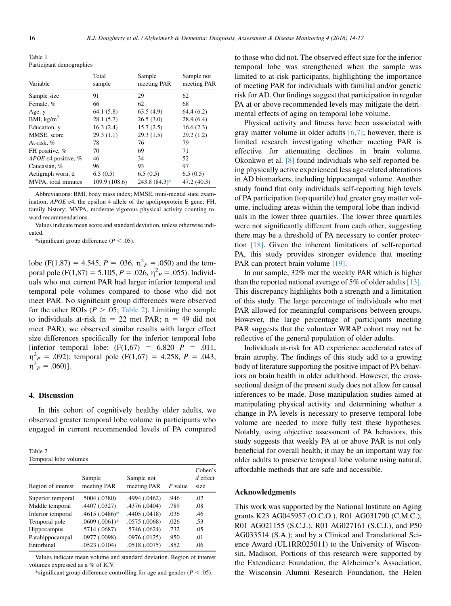<span id="page-2-0"></span>Table 1 Participant demographics

| Variable                         | Total<br>sample | Sample<br>meeting PAR | Sample not<br>meeting PAR |
|----------------------------------|-----------------|-----------------------|---------------------------|
| Sample size                      | 91              | 29                    | 62                        |
| Female, %                        | 66              | 62                    | 68                        |
| Age, y                           | 64.1(5.8)       | 63.5(4.9)             | 64.4(6.2)                 |
| BMI, $kg/m2$                     | 28.1(5.7)       | 26.5(3.0)             | 28.9(6.4)                 |
| Education, y                     | 16.3(2.4)       | 15.7(2.5)             | 16.6(2.3)                 |
| MMSE, score                      | 29.3(1.1)       | 29.3(1.5)             | 29.2(1.2)                 |
| At-risk, %                       | 78              | 76                    | 79                        |
| FH positive, %                   | 70              | 69                    | 71                        |
| APOE $\varepsilon$ 4 positive, % | 46              | 34                    | 52                        |
| Caucasian, %                     | 96              | 93                    | 97                        |
| Actigraph worn, d                | 6.5(0.5)        | 6.5(0.5)              | 6.5(0.5)                  |
| MVPA, total minutes              | 109.9 (108.6)   | $243.8(84.3)*$        | 47.2 (40.3)               |

Abbreviations: BMI, body mass index; MMSE, mini-mental state examination; APOE ε4, the epsilon 4 allele of the apolipoprotein E gene; FH, family history; MVPA, moderate-vigorous physical activity counting toward recommendations.

Values indicate mean score and standard deviation, unless otherwise indicated.

\*significant group difference ( $P < .05$ ).

lobe (F(1,87) = 4.545, P = .036,  $\eta^2{}_P$  = .050) and the temporal pole (F(1,87) = 5.105,  $P = 0.026$ ,  $\eta^2 P = 0.055$ ). Individuals who met current PAR had larger inferior temporal and temporal pole volumes compared to those who did not meet PAR. No significant group differences were observed for the other ROIs ( $P > .05$ ; Table 2). Limiting the sample to individuals at-risk ( $n = 22$  met PAR;  $n = 49$  did not meet PAR), we observed similar results with larger effect size differences specifically for the inferior temporal lobe [inferior temporal lobe:  $(F(1,67) = 6.820 \text{ } P = .011,$  $\eta_{\_P}^2$  = .092); temporal pole (F(1,67) = 4.258, P = .043,  $\eta^2 P = .060$ ].

#### 4. Discussion

In this cohort of cognitively healthy older adults, we observed greater temporal lobe volume in participants who engaged in current recommended levels of PA compared

| Table 2               |  |
|-----------------------|--|
| Temporal lobe volumes |  |

| Region of interest | Sample<br>meeting PAR | Sample not<br>meeting PAR | P value | Cohen's<br>$d$ effect<br>size |
|--------------------|-----------------------|---------------------------|---------|-------------------------------|
| Superior temporal  | .5004 (.0380)         | .4994 (.0462)             | .946    | .02                           |
| Middle temporal    | .4407 (.0327)         | .4376 (.0404)             | .789    | .08                           |
| Inferior temporal  | $.4615(.0486)*$       | .4405(.0418)              | .036    | .46                           |
| Temporal pole      | $.0609(.0061)$ *      | .0575(.0068)              | .026    | .53                           |
| Hippocampus        | .5714(.0687)          | .5746 (.0624)             | .732    | .05                           |
| Parahippocampal    | .0977 (.0098)         | .0976(.0125)              | .950    | .01                           |
| Entorhinal         | .0523(.0104)          | .0518(.0075)              | .852    | .06                           |

Values indicate mean volume and standard deviation. Region of interest volumes expressed as a % of ICV.

\*significant group difference controlling for age and gender ( $P < .05$ ).

to those who did not. The observed effect size for the inferior temporal lobe was strengthened when the sample was limited to at-risk participants, highlighting the importance of meeting PAR for individuals with familial and/or genetic risk for AD. Our findings suggest that participation in regular PA at or above recommended levels may mitigate the detrimental effects of aging on temporal lobe volume.

Physical activity and fitness have been associated with gray matter volume in older adults  $[6,7]$ ; however, there is limited research investigating whether meeting PAR is effective for attenuating declines in brain volume. Okonkwo et al. [\[8\]](#page-3-0) found individuals who self-reported being physically active experienced less age-related alterations in AD biomarkers, including hippocampal volume. Another study found that only individuals self-reporting high levels of PA participation (top quartile) had greater gray matter volume, including areas within the temporal lobe than individuals in the lower three quartiles. The lower three quartiles were not significantly different from each other, suggesting there may be a threshold of PA necessary to confer protection [\[18\].](#page-3-0) Given the inherent limitations of self-reported PA, this study provides stronger evidence that meeting PAR can protect brain volume [\[19\]](#page-3-0).

In our sample, 32% met the weekly PAR which is higher than the reported national average of 5% of older adults [\[13\].](#page-3-0) This discrepancy highlights both a strength and a limitation of this study. The large percentage of individuals who met PAR allowed for meaningful comparisons between groups. However, the large percentage of participants meeting PAR suggests that the volunteer WRAP cohort may not be reflective of the general population of older adults.

Individuals at-risk for AD experience accelerated rates of brain atrophy. The findings of this study add to a growing body of literature supporting the positive impact of PA behaviors on brain health in older adulthood. However, the crosssectional design of the present study does not allow for causal inferences to be made. Dose manipulation studies aimed at manipulating physical activity and determining whether a change in PA levels is necessary to preserve temporal lobe volume are needed to more fully test these hypotheses. Notably, using objective assessment of PA behaviors, this study suggests that weekly PA at or above PAR is not only beneficial for overall health; it may be an important way for older adults to preserve temporal lobe volume using natural, affordable methods that are safe and accessible.

#### Acknowledgments

This work was supported by the National Institute on Aging grants K23 AG045957 (O.C.O.), R01 AG031790 (C.M.C.), R01 AG021155 (S.C.J.), R01 AG027161 (S.C.J.), and P50 AG033514 (S.A.); and by a Clinical and Translational Science Award (UL1RR025011) to the University of Wisconsin, Madison. Portions of this research were supported by the Extendicare Foundation, the Alzheimer's Association, the Wisconsin Alumni Research Foundation, the Helen